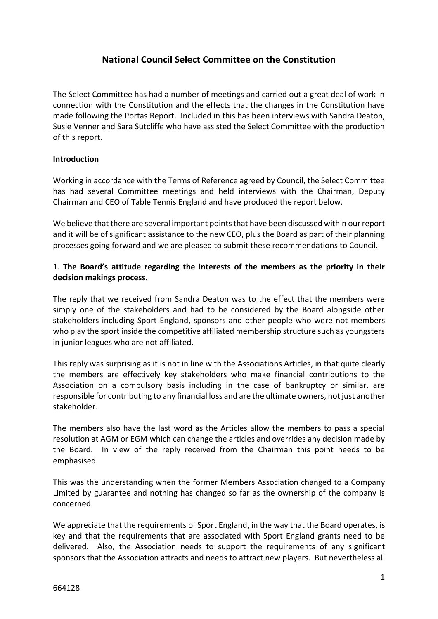# **National Council Select Committee on the Constitution**

The Select Committee has had a number of meetings and carried out a great deal of work in connection with the Constitution and the effects that the changes in the Constitution have made following the Portas Report. Included in this has been interviews with Sandra Deaton, Susie Venner and Sara Sutcliffe who have assisted the Select Committee with the production of this report.

## **Introduction**

Working in accordance with the Terms of Reference agreed by Council, the Select Committee has had several Committee meetings and held interviews with the Chairman, Deputy Chairman and CEO of Table Tennis England and have produced the report below.

We believe that there are several important points that have been discussed within our report and it will be of significant assistance to the new CEO, plus the Board as part of their planning processes going forward and we are pleased to submit these recommendations to Council.

## 1. **The Board's attitude regarding the interests of the members as the priority in their decision makings process.**

The reply that we received from Sandra Deaton was to the effect that the members were simply one of the stakeholders and had to be considered by the Board alongside other stakeholders including Sport England, sponsors and other people who were not members who play the sport inside the competitive affiliated membership structure such as youngsters in junior leagues who are not affiliated.

This reply was surprising as it is not in line with the Associations Articles, in that quite clearly the members are effectively key stakeholders who make financial contributions to the Association on a compulsory basis including in the case of bankruptcy or similar, are responsible for contributing to any financial loss and are the ultimate owners, not just another stakeholder.

The members also have the last word as the Articles allow the members to pass a special resolution at AGM or EGM which can change the articles and overrides any decision made by the Board. In view of the reply received from the Chairman this point needs to be emphasised.

This was the understanding when the former Members Association changed to a Company Limited by guarantee and nothing has changed so far as the ownership of the company is concerned.

We appreciate that the requirements of Sport England, in the way that the Board operates, is key and that the requirements that are associated with Sport England grants need to be delivered. Also, the Association needs to support the requirements of any significant sponsors that the Association attracts and needs to attract new players. But nevertheless all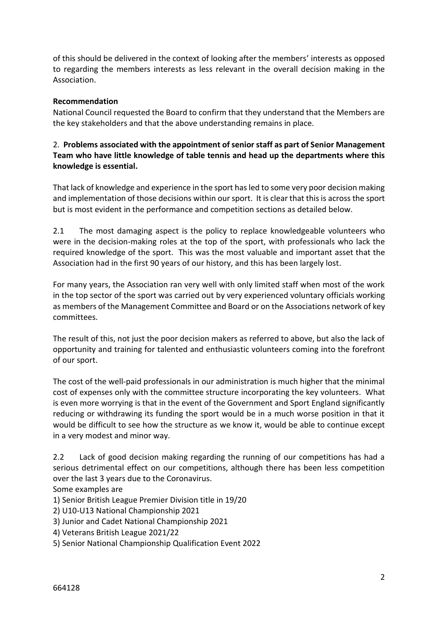of this should be delivered in the context of looking after the members' interests as opposed to regarding the members interests as less relevant in the overall decision making in the Association.

## **Recommendation**

National Council requested the Board to confirm that they understand that the Members are the key stakeholders and that the above understanding remains in place.

## 2. **Problems associated with the appointment of senior staff as part of Senior Management Team who have little knowledge of table tennis and head up the departments where this knowledge is essential.**

That lack of knowledge and experience in the sport has led to some very poor decision making and implementation of those decisions within our sport. It is clear that this is across the sport but is most evident in the performance and competition sections as detailed below.

2.1 The most damaging aspect is the policy to replace knowledgeable volunteers who were in the decision-making roles at the top of the sport, with professionals who lack the required knowledge of the sport. This was the most valuable and important asset that the Association had in the first 90 years of our history, and this has been largely lost.

For many years, the Association ran very well with only limited staff when most of the work in the top sector of the sport was carried out by very experienced voluntary officials working as members of the Management Committee and Board or on the Associations network of key committees.

The result of this, not just the poor decision makers as referred to above, but also the lack of opportunity and training for talented and enthusiastic volunteers coming into the forefront of our sport.

The cost of the well-paid professionals in our administration is much higher that the minimal cost of expenses only with the committee structure incorporating the key volunteers. What is even more worrying is that in the event of the Government and Sport England significantly reducing or withdrawing its funding the sport would be in a much worse position in that it would be difficult to see how the structure as we know it, would be able to continue except in a very modest and minor way.

2.2 Lack of good decision making regarding the running of our competitions has had a serious detrimental effect on our competitions, although there has been less competition over the last 3 years due to the Coronavirus.

Some examples are

- 1) Senior British League Premier Division title in 19/20
- 2) U10-U13 National Championship 2021
- 3) Junior and Cadet National Championship 2021
- 4) Veterans British League 2021/22
- 5) Senior National Championship Qualification Event 2022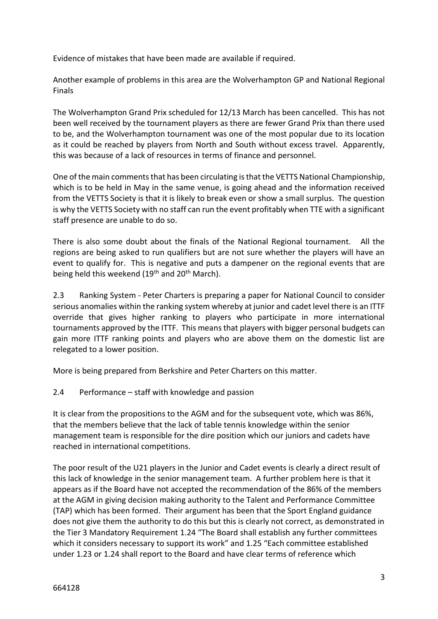Evidence of mistakes that have been made are available if required.

Another example of problems in this area are the Wolverhampton GP and National Regional Finals

The Wolverhampton Grand Prix scheduled for 12/13 March has been cancelled. This has not been well received by the tournament players as there are fewer Grand Prix than there used to be, and the Wolverhampton tournament was one of the most popular due to its location as it could be reached by players from North and South without excess travel. Apparently, this was because of a lack of resources in terms of finance and personnel.

One of the main comments that has been circulating is that the VETTS National Championship, which is to be held in May in the same venue, is going ahead and the information received from the VETTS Society is that it is likely to break even or show a small surplus. The question is why the VETTS Society with no staff can run the event profitably when TTE with a significant staff presence are unable to do so.

There is also some doubt about the finals of the National Regional tournament. All the regions are being asked to run qualifiers but are not sure whether the players will have an event to qualify for. This is negative and puts a dampener on the regional events that are being held this weekend (19<sup>th</sup> and 20<sup>th</sup> March).

2.3 Ranking System - Peter Charters is preparing a paper for National Council to consider serious anomalies within the ranking system whereby at junior and cadet level there is an ITTF override that gives higher ranking to players who participate in more international tournaments approved by the ITTF. This means that players with bigger personal budgets can gain more ITTF ranking points and players who are above them on the domestic list are relegated to a lower position.

More is being prepared from Berkshire and Peter Charters on this matter.

## 2.4 Performance – staff with knowledge and passion

It is clear from the propositions to the AGM and for the subsequent vote, which was 86%, that the members believe that the lack of table tennis knowledge within the senior management team is responsible for the dire position which our juniors and cadets have reached in international competitions.

The poor result of the U21 players in the Junior and Cadet events is clearly a direct result of this lack of knowledge in the senior management team. A further problem here is that it appears as if the Board have not accepted the recommendation of the 86% of the members at the AGM in giving decision making authority to the Talent and Performance Committee (TAP) which has been formed. Their argument has been that the Sport England guidance does not give them the authority to do this but this is clearly not correct, as demonstrated in the Tier 3 Mandatory Requirement 1.24 "The Board shall establish any further committees which it considers necessary to support its work" and 1.25 "Each committee established under 1.23 or 1.24 shall report to the Board and have clear terms of reference which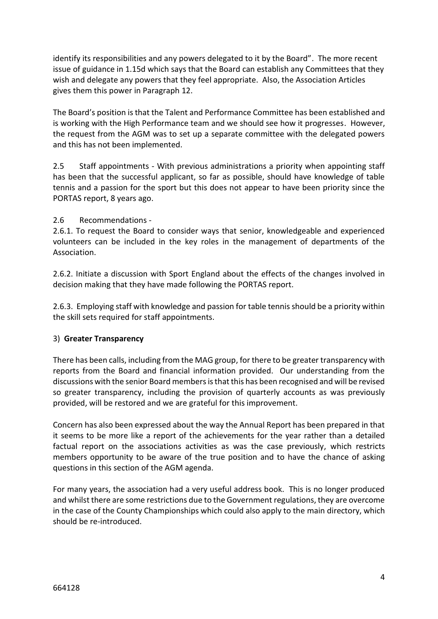identify its responsibilities and any powers delegated to it by the Board". The more recent issue of guidance in 1.15d which says that the Board can establish any Committees that they wish and delegate any powers that they feel appropriate. Also, the Association Articles gives them this power in Paragraph 12.

The Board's position is that the Talent and Performance Committee has been established and is working with the High Performance team and we should see how it progresses. However, the request from the AGM was to set up a separate committee with the delegated powers and this has not been implemented.

2.5 Staff appointments - With previous administrations a priority when appointing staff has been that the successful applicant, so far as possible, should have knowledge of table tennis and a passion for the sport but this does not appear to have been priority since the PORTAS report, 8 years ago.

## 2.6 Recommendations -

2.6.1. To request the Board to consider ways that senior, knowledgeable and experienced volunteers can be included in the key roles in the management of departments of the Association.

2.6.2. Initiate a discussion with Sport England about the effects of the changes involved in decision making that they have made following the PORTAS report.

2.6.3. Employing staff with knowledge and passion for table tennis should be a priority within the skill sets required for staff appointments.

#### 3) **Greater Transparency**

There has been calls, including from the MAG group, for there to be greater transparency with reports from the Board and financial information provided. Our understanding from the discussions with the senior Board members is that this has been recognised and will be revised so greater transparency, including the provision of quarterly accounts as was previously provided, will be restored and we are grateful for this improvement.

Concern has also been expressed about the way the Annual Report has been prepared in that it seems to be more like a report of the achievements for the year rather than a detailed factual report on the associations activities as was the case previously, which restricts members opportunity to be aware of the true position and to have the chance of asking questions in this section of the AGM agenda.

For many years, the association had a very useful address book. This is no longer produced and whilst there are some restrictions due to the Government regulations, they are overcome in the case of the County Championships which could also apply to the main directory, which should be re-introduced.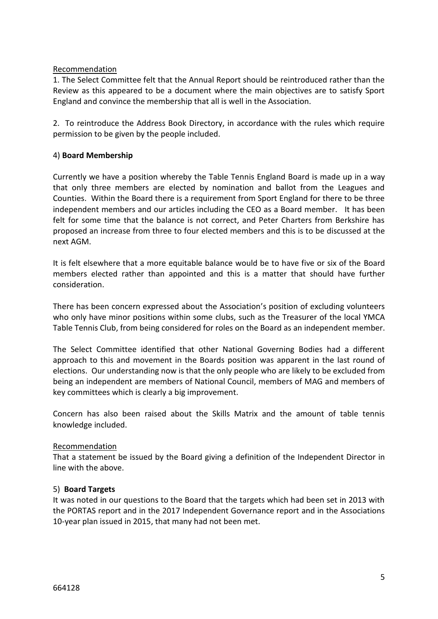### Recommendation

1. The Select Committee felt that the Annual Report should be reintroduced rather than the Review as this appeared to be a document where the main objectives are to satisfy Sport England and convince the membership that all is well in the Association.

2. To reintroduce the Address Book Directory, in accordance with the rules which require permission to be given by the people included.

## 4) **Board Membership**

Currently we have a position whereby the Table Tennis England Board is made up in a way that only three members are elected by nomination and ballot from the Leagues and Counties. Within the Board there is a requirement from Sport England for there to be three independent members and our articles including the CEO as a Board member. It has been felt for some time that the balance is not correct, and Peter Charters from Berkshire has proposed an increase from three to four elected members and this is to be discussed at the next AGM.

It is felt elsewhere that a more equitable balance would be to have five or six of the Board members elected rather than appointed and this is a matter that should have further consideration.

There has been concern expressed about the Association's position of excluding volunteers who only have minor positions within some clubs, such as the Treasurer of the local YMCA Table Tennis Club, from being considered for roles on the Board as an independent member.

The Select Committee identified that other National Governing Bodies had a different approach to this and movement in the Boards position was apparent in the last round of elections. Our understanding now is that the only people who are likely to be excluded from being an independent are members of National Council, members of MAG and members of key committees which is clearly a big improvement.

Concern has also been raised about the Skills Matrix and the amount of table tennis knowledge included.

#### Recommendation

That a statement be issued by the Board giving a definition of the Independent Director in line with the above.

#### 5) **Board Targets**

It was noted in our questions to the Board that the targets which had been set in 2013 with the PORTAS report and in the 2017 Independent Governance report and in the Associations 10-year plan issued in 2015, that many had not been met.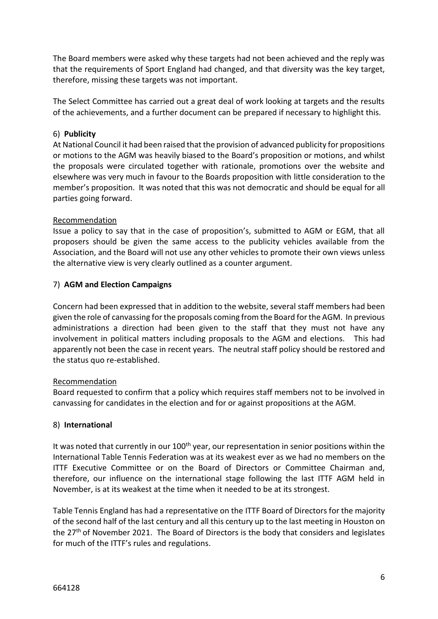The Board members were asked why these targets had not been achieved and the reply was that the requirements of Sport England had changed, and that diversity was the key target, therefore, missing these targets was not important.

The Select Committee has carried out a great deal of work looking at targets and the results of the achievements, and a further document can be prepared if necessary to highlight this.

## 6) **Publicity**

At National Council it had been raised that the provision of advanced publicity for propositions or motions to the AGM was heavily biased to the Board's proposition or motions, and whilst the proposals were circulated together with rationale, promotions over the website and elsewhere was very much in favour to the Boards proposition with little consideration to the member's proposition. It was noted that this was not democratic and should be equal for all parties going forward.

#### Recommendation

Issue a policy to say that in the case of proposition's, submitted to AGM or EGM, that all proposers should be given the same access to the publicity vehicles available from the Association, and the Board will not use any other vehicles to promote their own views unless the alternative view is very clearly outlined as a counter argument.

## 7) **AGM and Election Campaigns**

Concern had been expressed that in addition to the website, several staff members had been given the role of canvassing for the proposals coming from the Board for the AGM. In previous administrations a direction had been given to the staff that they must not have any involvement in political matters including proposals to the AGM and elections. This had apparently not been the case in recent years. The neutral staff policy should be restored and the status quo re-established.

#### Recommendation

Board requested to confirm that a policy which requires staff members not to be involved in canvassing for candidates in the election and for or against propositions at the AGM.

## 8) **International**

It was noted that currently in our  $100<sup>th</sup>$  year, our representation in senior positions within the International Table Tennis Federation was at its weakest ever as we had no members on the ITTF Executive Committee or on the Board of Directors or Committee Chairman and, therefore, our influence on the international stage following the last ITTF AGM held in November, is at its weakest at the time when it needed to be at its strongest.

Table Tennis England has had a representative on the ITTF Board of Directors for the majority of the second half of the last century and all this century up to the last meeting in Houston on the 27th of November 2021. The Board of Directors is the body that considers and legislates for much of the ITTF's rules and regulations.